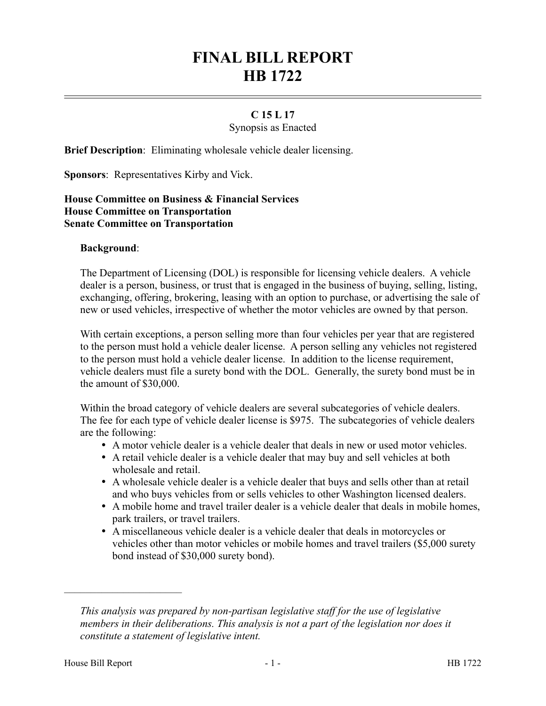# **FINAL BILL REPORT HB 1722**

## **C 15 L 17**

Synopsis as Enacted

**Brief Description**: Eliminating wholesale vehicle dealer licensing.

**Sponsors**: Representatives Kirby and Vick.

#### **House Committee on Business & Financial Services House Committee on Transportation Senate Committee on Transportation**

#### **Background**:

The Department of Licensing (DOL) is responsible for licensing vehicle dealers. A vehicle dealer is a person, business, or trust that is engaged in the business of buying, selling, listing, exchanging, offering, brokering, leasing with an option to purchase, or advertising the sale of new or used vehicles, irrespective of whether the motor vehicles are owned by that person.

With certain exceptions, a person selling more than four vehicles per year that are registered to the person must hold a vehicle dealer license. A person selling any vehicles not registered to the person must hold a vehicle dealer license. In addition to the license requirement, vehicle dealers must file a surety bond with the DOL. Generally, the surety bond must be in the amount of \$30,000.

Within the broad category of vehicle dealers are several subcategories of vehicle dealers. The fee for each type of vehicle dealer license is \$975. The subcategories of vehicle dealers are the following:

- A motor vehicle dealer is a vehicle dealer that deals in new or used motor vehicles.
- A retail vehicle dealer is a vehicle dealer that may buy and sell vehicles at both wholesale and retail.
- A wholesale vehicle dealer is a vehicle dealer that buys and sells other than at retail and who buys vehicles from or sells vehicles to other Washington licensed dealers.
- A mobile home and travel trailer dealer is a vehicle dealer that deals in mobile homes, park trailers, or travel trailers.
- A miscellaneous vehicle dealer is a vehicle dealer that deals in motorcycles or vehicles other than motor vehicles or mobile homes and travel trailers (\$5,000 surety bond instead of \$30,000 surety bond).

––––––––––––––––––––––

*This analysis was prepared by non-partisan legislative staff for the use of legislative members in their deliberations. This analysis is not a part of the legislation nor does it constitute a statement of legislative intent.*